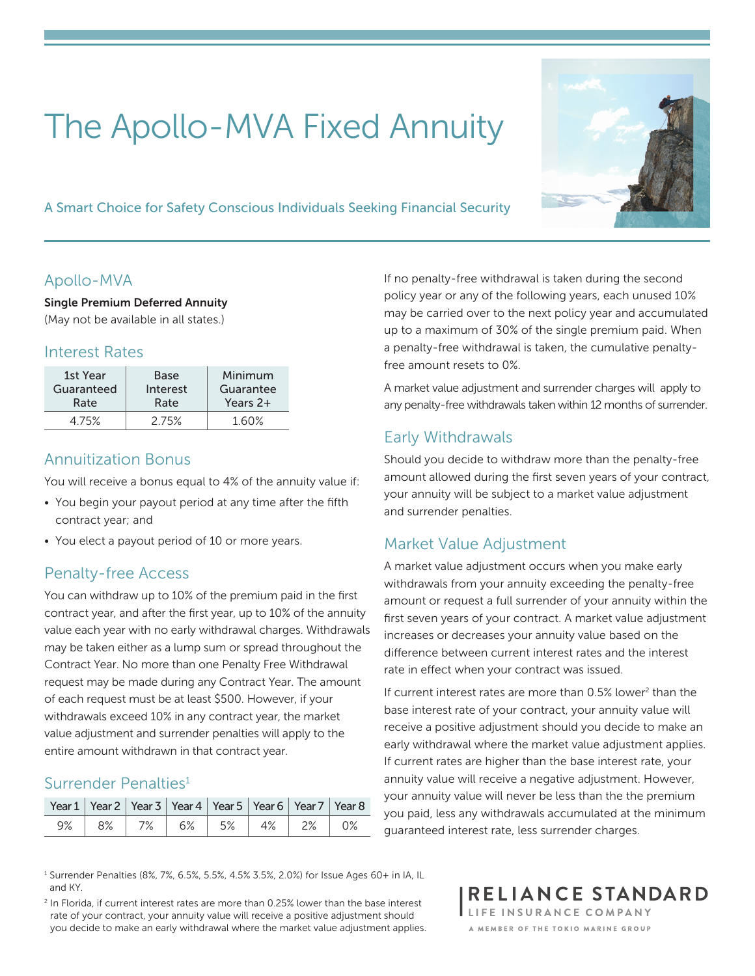# The Apollo-MVA Fixed Annuity

A Smart Choice for Safety Conscious Individuals Seeking Financial Security

### Apollo-MVA

Single Premium Deferred Annuity (May not be available in all states.)

#### Interest Rates

| 1st Year   | Base     | Minimum   |  |  |
|------------|----------|-----------|--|--|
| Guaranteed | Interest | Guarantee |  |  |
| Rate       | Rate     | Years 2+  |  |  |
| 475%       | 2 75%    |           |  |  |

#### Annuitization Bonus

You will receive a bonus equal to 4% of the annuity value if:

- You begin your payout period at any time after the fifth contract year; and
- You elect a payout period of 10 or more years.

### Penalty-free Access

You can withdraw up to 10% of the premium paid in the first contract year, and after the first year, up to 10% of the annuity value each year with no early withdrawal charges. Withdrawals may be taken either as a lump sum or spread throughout the Contract Year. No more than one Penalty Free Withdrawal request may be made during any Contract Year. The amount of each request must be at least \$500. However, if your withdrawals exceed 10% in any contract year, the market value adjustment and surrender penalties will apply to the entire amount withdrawn in that contract year.

### Surrender Penalties<sup>1</sup>

| Year 1   Year 2   Year 3   Year 4   Year 5   Year 6   Year 7   Year 8 |  |  |                            |  |
|-----------------------------------------------------------------------|--|--|----------------------------|--|
|                                                                       |  |  | $9\%$ 8% 7% 6% 5% 4% 2% 0% |  |

If no penalty-free withdrawal is taken during the second policy year or any of the following years, each unused 10% may be carried over to the next policy year and accumulated up to a maximum of 30% of the single premium paid. When a penalty-free withdrawal is taken, the cumulative penaltyfree amount resets to 0%.

A market value adjustment and surrender charges will apply to any penalty-free withdrawals taken within 12 months of surrender.

# Early Withdrawals

Should you decide to withdraw more than the penalty-free amount allowed during the first seven years of your contract, your annuity will be subject to a market value adjustment and surrender penalties.

### Market Value Adjustment

A market value adjustment occurs when you make early withdrawals from your annuity exceeding the penalty-free amount or request a full surrender of your annuity within the first seven years of your contract. A market value adjustment increases or decreases your annuity value based on the difference between current interest rates and the interest rate in effect when your contract was issued.

If current interest rates are more than 0.5% lower<sup>2</sup> than the base interest rate of your contract, your annuity value will receive a positive adjustment should you decide to make an early withdrawal where the market value adjustment applies. If current rates are higher than the base interest rate, your annuity value will receive a negative adjustment. However, your annuity value will never be less than the the premium you paid, less any withdrawals accumulated at the minimum guaranteed interest rate, less surrender charges.

RELIANCE STANDARD

LIFE INSURANCE COMPANY A MEMBER OF THE TOKIO MARINE GROUP

1 Surrender Penalties (8%, 7%, 6.5%, 5.5%, 4.5% 3.5%, 2.0%) for Issue Ages 60+ in IA, IL and KY.

<sup>2</sup> In Florida, if current interest rates are more than 0.25% lower than the base interest rate of your contract, your annuity value will receive a positive adjustment should you decide to make an early withdrawal where the market value adjustment applies.